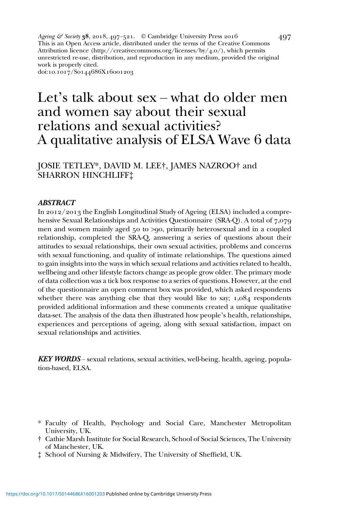Ageing & Society 38, 2018, 497-521. © Cambridge University Press 2016 This is an Open Access article, distributed under the terms of the Creative Commons Attribution licence (http://creativecommons.org/licenses/by/4.0/), which permits unrestricted re-use, distribution, and reproduction in any medium, provided the original work is properly cited. doi:10.1017/S0144686X16001203 497

# Let's talk about sex – what do older men and women say about their sexual relations and sexual activities? A qualitative analysis of ELSA Wave 6 data

# JOSIE TETLEY\*, DAVID M. LEE†, JAMES NAZROO† and SHARRON HINCHLIFF‡

### ABSTRACT

In 2012/2013 the English Longitudinal Study of Ageing (ELSA) included a comprehensive Sexual Relationships and Activities Questionnaire (SRA-Q). A total of 7,079 men and women mainly aged  $50$  to  $>qo$ , primarily heterosexual and in a coupled relationship, completed the SRA-Q, answering a series of questions about their attitudes to sexual relationships, their own sexual activities, problems and concerns with sexual functioning, and quality of intimate relationships. The questions aimed to gain insights into the ways in which sexual relations and activities related to health, wellbeing and other lifestyle factors change as people grow older. The primary mode of data collection was a tick box response to a series of questions. However, at the end of the questionnaire an open comment box was provided, which asked respondents whether there was anything else that they would like to say;  $1,084$  respondents provided additional information and these comments created a unique qualitative data-set. The analysis of the data then illustrated how people's health, relationships, experiences and perceptions of ageing, along with sexual satisfaction, impact on sexual relationships and activities.

KEY WORDS – sexual relations, sexual activities, well-being, health, ageing, population-based, ELSA.

- \* Faculty of Health, Psychology and Social Care, Manchester Metropolitan University, UK.
- † Cathie Marsh Institute for Social Research, School of Social Sciences, The University of Manchester, UK.
- ‡ School of Nursing & Midwifery, The University of Sheffield, UK.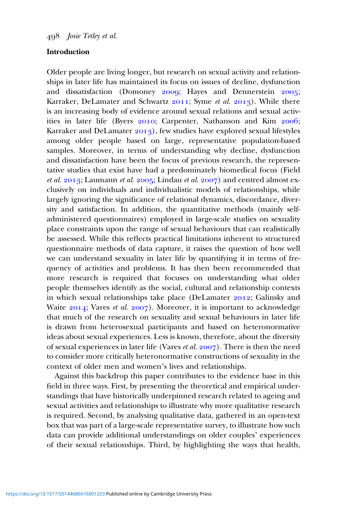### Introduction

Older people are living longer, but research on sexual activity and relationships in later life has maintained its focus on issues of decline, dysfunction and dissatisfaction (Domoney 2009; Hayes and Dennerstein 2005; Karraker, DeLamater and Schwartz  $2011$ ; Syme *et al.*  $2013$ ). While there is an increasing body of evidence around sexual relations and sexual activities in later life (Byers  $2010$ ; Carpenter, Nathanson and Kim  $2006$ ; Karraker and DeLamater  $2013$ , few studies have explored sexual lifestyles among older people based on large, representative population-based samples. Moreover, in terms of understanding why decline, dysfunction and dissatisfaction have been the focus of previous research, the representative studies that exist have had a predominately biomedical focus (Field *et al.* 2013; Laumann *et al.* 2005; Lindau *et al.* 2007) and centred almost exclusively on individuals and individualistic models of relationships, while largely ignoring the significance of relational dynamics, discordance, diversity and satisfaction. In addition, the quantitative methods (mainly selfadministered questionnaires) employed in large-scale studies on sexuality place constraints upon the range of sexual behaviours that can realistically be assessed. While this reflects practical limitations inherent to structured questionnaire methods of data capture, it raises the question of how well we can understand sexuality in later life by quantifying it in terms of frequency of activities and problems. It has then been recommended that more research is required that focuses on understanding what older people themselves identify as the social, cultural and relationship contexts in which sexual relationships take place (DeLamater 2012; Galinsky and Waite  $2014$ ; Vares et al.  $2007$ ). Moreover, it is important to acknowledge that much of the research on sexuality and sexual behaviours in later life is drawn from heterosexual participants and based on heteronormative ideas about sexual experiences. Less is known, therefore, about the diversity of sexual experiences in later life (Vares *et al.*  $2007$ ). There is then the need to consider more critically heteronormative constructions of sexuality in the context of older men and women's lives and relationships.

Against this backdrop this paper contributes to the evidence base in this field in three ways. First, by presenting the theoretical and empirical understandings that have historically underpinned research related to ageing and sexual activities and relationships to illustrate why more qualitative research is required. Second, by analysing qualitative data, gathered in an open-text box that was part of a large-scale representative survey, to illustrate how such data can provide additional understandings on older couples' experiences of their sexual relationships. Third, by highlighting the ways that health,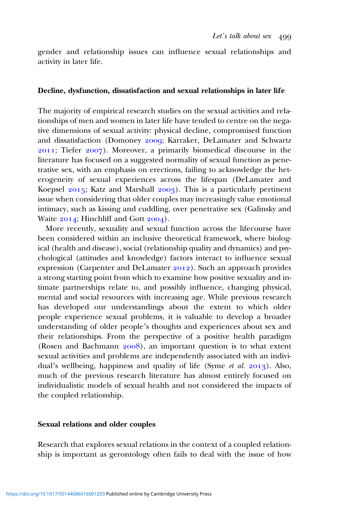gender and relationship issues can influence sexual relationships and activity in later life.

### Decline, dysfunction, dissatisfaction and sexual relationships in later life

The majority of empirical research studies on the sexual activities and relationships of men and women in later life have tended to centre on the negative dimensions of sexual activity: physical decline, compromised function and dissatisfaction (Domoney 2009; Karraker, DeLamater and Schwartz  $2011$ ; Tiefer  $2007$ ). Moreover, a primarily biomedical discourse in the literature has focused on a suggested normality of sexual function as penetrative sex, with an emphasis on erections, failing to acknowledge the heterogeneity of sexual experiences across the lifespan (DeLamater and Koepsel  $2015$ ; Katz and Marshall  $2003$ ). This is a particularly pertinent issue when considering that older couples may increasingly value emotional intimacy, such as kissing and cuddling, over penetrative sex (Galinsky and Waite  $2014$ ; Hinchliff and Gott  $2004$ ).

More recently, sexuality and sexual function across the lifecourse have been considered within an inclusive theoretical framework, where biological (health and disease), social (relationship quality and dynamics) and psychological (attitudes and knowledge) factors interact to influence sexual expression (Carpenter and DeLamater  $2012$ ). Such an approach provides a strong starting point from which to examine how positive sexuality and intimate partnerships relate to, and possibly influence, changing physical, mental and social resources with increasing age. While previous research has developed our understandings about the extent to which older people experience sexual problems, it is valuable to develop a broader understanding of older people's thoughts and experiences about sex and their relationships. From the perspective of a positive health paradigm (Rosen and Bachmann  $2008$ ), an important question is to what extent sexual activities and problems are independently associated with an individual's wellbeing, happiness and quality of life (Syme  $et$   $al.$   $2013$ ). Also, much of the previous research literature has almost entirely focused on individualistic models of sexual health and not considered the impacts of the coupled relationship.

### Sexual relations and older couples

Research that explores sexual relations in the context of a coupled relationship is important as gerontology often fails to deal with the issue of how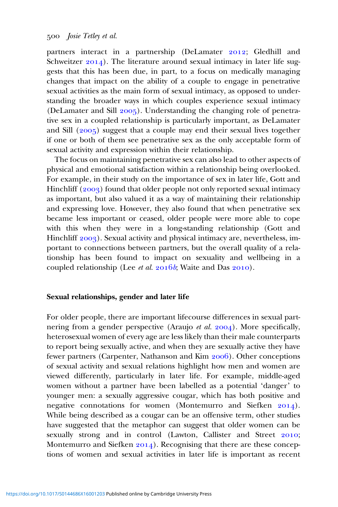partners interact in a partnership (DeLamater 2012; Gledhill and Schweitzer  $2014$ ). The literature around sexual intimacy in later life suggests that this has been due, in part, to a focus on medically managing changes that impact on the ability of a couple to engage in penetrative sexual activities as the main form of sexual intimacy, as opposed to understanding the broader ways in which couples experience sexual intimacy (DeLamater and Sill  $2005$ ). Understanding the changing role of penetrative sex in a coupled relationship is particularly important, as DeLamater and Sill  $(2005)$  suggest that a couple may end their sexual lives together if one or both of them see penetrative sex as the only acceptable form of sexual activity and expression within their relationship.

The focus on maintaining penetrative sex can also lead to other aspects of physical and emotional satisfaction within a relationship being overlooked. For example, in their study on the importance of sex in later life, Gott and Hinchliff  $(2003)$  found that older people not only reported sexual intimacy as important, but also valued it as a way of maintaining their relationship and expressing love. However, they also found that when penetrative sex became less important or ceased, older people were more able to cope with this when they were in a long-standing relationship (Gott and Hinchliff 2003). Sexual activity and physical intimacy are, nevertheless, important to connections between partners, but the overall quality of a relationship has been found to impact on sexuality and wellbeing in a coupled relationship (Lee et al.  $2016b$ ; Waite and Das  $2010$ ).

### Sexual relationships, gender and later life

For older people, there are important lifecourse differences in sexual partnering from a gender perspective (Araujo et al.  $2004$ ). More specifically, heterosexual women of every age are less likely than their male counterparts to report being sexually active, and when they are sexually active they have fewer partners (Carpenter, Nathanson and Kim 2006). Other conceptions of sexual activity and sexual relations highlight how men and women are viewed differently, particularly in later life. For example, middle-aged women without a partner have been labelled as a potential 'danger' to younger men: a sexually aggressive cougar, which has both positive and negative connotations for women (Montemurro and Siefken 2014). While being described as a cougar can be an offensive term, other studies have suggested that the metaphor can suggest that older women can be sexually strong and in control (Lawton, Callister and Street 2010; Montemurro and Siefken  $2014$ ). Recognising that there are these conceptions of women and sexual activities in later life is important as recent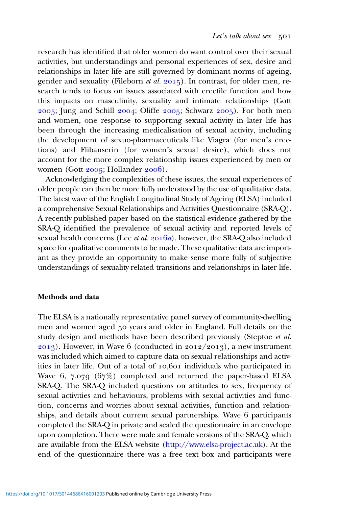research has identified that older women do want control over their sexual activities, but understandings and personal experiences of sex, desire and relationships in later life are still governed by dominant norms of ageing, gender and sexuality (Fileborn et al. 2015). In contrast, for older men, research tends to focus on issues associated with erectile function and how this impacts on masculinity, sexuality and intimate relationships (Gott  $2005$ ; Jung and Schill  $2004$ ; Oliffe  $2005$ ; Schwarz  $2005$ ). For both men and women, one response to supporting sexual activity in later life has been through the increasing medicalisation of sexual activity, including the development of sexuo-pharmaceuticals like Viagra (for men's erections) and Flibanserin (for women's sexual desire), which does not account for the more complex relationship issues experienced by men or women (Gott  $2005$ ; Hollander  $2006$ ).

Acknowledging the complexities of these issues, the sexual experiences of older people can then be more fully understood by the use of qualitative data. The latest wave of the English Longitudinal Study of Ageing (ELSA) included a comprehensive Sexual Relationships and Activities Questionnaire (SRA-Q). A recently published paper based on the statistical evidence gathered by the SRA-Q identified the prevalence of sexual activity and reported levels of sexual health concerns (Lee et al.  $2016a$ ), however, the SRA-Q also included space for qualitative comments to be made. These qualitative data are important as they provide an opportunity to make sense more fully of subjective understandings of sexuality-related transitions and relationships in later life.

### Methods and data

The ELSA is a nationally representative panel survey of community-dwelling men and women aged 50 years and older in England. Full details on the study design and methods have been described previously (Steptoe et al. 2013). However, in Wave 6 (conducted in 2012/2013), a new instrument was included which aimed to capture data on sexual relationships and activities in later life. Out of a total of 10,601 individuals who participated in Wave 6, 7,079  $(67%)$  completed and returned the paper-based ELSA SRA-Q. The SRA-Q included questions on attitudes to sex, frequency of sexual activities and behaviours, problems with sexual activities and function, concerns and worries about sexual activities, function and relationships, and details about current sexual partnerships. Wave 6 participants completed the SRA-Q in private and sealed the questionnaire in an envelope upon completion. There were male and female versions of the SRA-Q, which are available from the ELSA website ([http://www.elsa-project.ac.uk\)](http://www.elsa-project.ac.uk). At the end of the questionnaire there was a free text box and participants were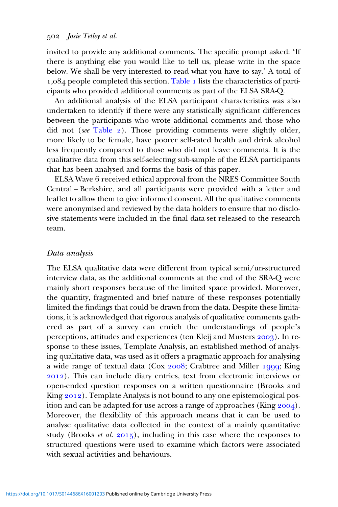invited to provide any additional comments. The specific prompt asked: 'If there is anything else you would like to tell us, please write in the space below. We shall be very interested to read what you have to say.' A total of  $1,084$  people completed this section. [Table](#page-6-0)  $1$  lists the characteristics of participants who provided additional comments as part of the ELSA SRA-Q.

An additional analysis of the ELSA participant characteristics was also undertaken to identify if there were any statistically significant differences between the participants who wrote additional comments and those who did not (see [Table](#page-7-0)  $2$ ). Those providing comments were slightly older, more likely to be female, have poorer self-rated health and drink alcohol less frequently compared to those who did not leave comments. It is the qualitative data from this self-selecting sub-sample of the ELSA participants that has been analysed and forms the basis of this paper.

ELSA Wave 6 received ethical approval from the NRES Committee South Central – Berkshire, and all participants were provided with a letter and leaflet to allow them to give informed consent. All the qualitative comments were anonymised and reviewed by the data holders to ensure that no disclosive statements were included in the final data-set released to the research team.

### Data analysis

The ELSA qualitative data were different from typical semi/un-structured interview data, as the additional comments at the end of the SRA-Q were mainly short responses because of the limited space provided. Moreover, the quantity, fragmented and brief nature of these responses potentially limited the findings that could be drawn from the data. Despite these limitations, it is acknowledged that rigorous analysis of qualitative comments gathered as part of a survey can enrich the understandings of people's perceptions, attitudes and experiences (ten Kleij and Musters  $2003$ ). In response to these issues, Template Analysis, an established method of analysing qualitative data, was used as it offers a pragmatic approach for analysing a wide range of textual data (Cox  $2008$ ; Crabtree and Miller 1999; King ). This can include diary entries, text from electronic interviews or open-ended question responses on a written questionnaire (Brooks and King 2012). Template Analysis is not bound to any one epistemological position and can be adapted for use across a range of approaches (King  $2004$ ). Moreover, the flexibility of this approach means that it can be used to analyse qualitative data collected in the context of a mainly quantitative study (Brooks *et al.* 2015), including in this case where the responses to structured questions were used to examine which factors were associated with sexual activities and behaviours.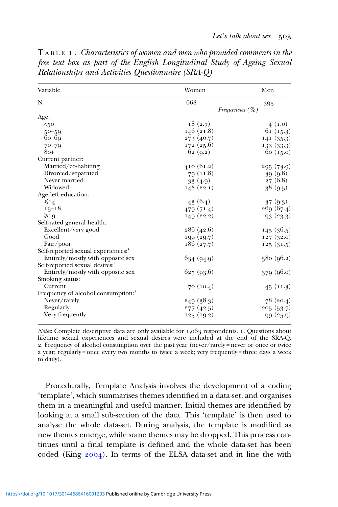| Variable                                       | Women      | Men                 |
|------------------------------------------------|------------|---------------------|
| N                                              | 668        | 395                 |
|                                                |            | Frequencies $(\% )$ |
| Age:                                           |            |                     |
| 50 <sub>5</sub>                                | 18(2.7)    | (1.0)               |
| $50 - 59$                                      | 146 (21.8) | 61(15.3)            |
| $60 - 69$                                      | 273(40.7)  | 141(35.3)           |
| $70 - 79$                                      | 172(25.6)  | 133(33.3)           |
| $8o+$                                          | 62(9.2)    | 60(15.0)            |
| Current partner:                               |            |                     |
| Married/co-habiting                            | 410 (61.2) | 295(73.9)           |
| Divorced/separated                             | 79 (11.8)  | 39(9.8)             |
| Never married                                  | 33(4.9)    | 27(6.8)             |
| Widowed                                        | 148(22.1)  | 38(9.5)             |
| Age left education:                            |            |                     |
| $\leq 14$                                      | 43(6.4)    | 37(9.3)             |
| $15 - 18$                                      | 479(71.4)  | 269(67.4)           |
| $\geqslant$ 19                                 | 149 (22.2) | 93(23.3)            |
| Self-rated general health:                     |            |                     |
| Excellent/very good                            | 286(42.6)  | 145(36.5)           |
| Good                                           | 199(29.7)  | 127(32.0)           |
| Fair/poor                                      | 186(27.7)  | 125(31.5)           |
| Self-reported sexual experiences: <sup>1</sup> |            |                     |
| Entirely/mostly with opposite sex              | 634 (94.9) | 380(96.2)           |
| Self-reported sexual desires: <sup>1</sup>     |            |                     |
| Entirely/mostly with opposite sex              | 625(93.6)  | 379 (96.0)          |
| Smoking status:                                |            |                     |
| Current                                        |            |                     |
| Frequency of alcohol consumption: <sup>2</sup> | 70(10.4)   | 45(11.3)            |
|                                                |            |                     |
| Never/rarely                                   | 249 (38.3) | 78(20.4)            |
| Regularly                                      | 277(42.5)  | 205(53.7)           |
| Very frequently                                | 125(19.2)  | 99(25.9)            |

<span id="page-6-0"></span> $T$ ABLE 1. Characteristics of women and men who provided comments in the free text box as part of the English Longitudinal Study of Ageing Sexual Relationships and Activities Questionnaire (SRA-Q)

Notes: Complete descriptive data are only available for 1,063 respondents. 1. Questions about lifetime sexual experiences and sexual desires were included at the end of the SRA-Q. . Frequency of alcohol consumption over the past year (never/rarely = never or once or twice a year; regularly = once every two months to twice a week; very frequently = three days a week to daily).

Procedurally, Template Analysis involves the development of a coding 'template', which summarises themes identified in a data-set, and organises them in a meaningful and useful manner. Initial themes are identified by looking at a small sub-section of the data. This 'template' is then used to analyse the whole data-set. During analysis, the template is modified as new themes emerge, while some themes may be dropped. This process continues until a final template is defined and the whole data-set has been coded (King  $2004$ ). In terms of the ELSA data-set and in line the with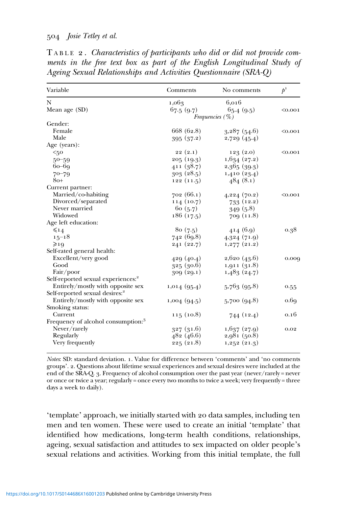<span id="page-7-0"></span>

|  |  | TABLE 2. Characteristics of participants who did or did not provide com- |  |
|--|--|--------------------------------------------------------------------------|--|
|  |  | ments in the free text box as part of the English Longitudinal Study of  |  |
|  |  | Ageing Sexual Relationships and Activities Questionnaire (SRA-Q)         |  |

| Variable                                       | Comments    | No comments         | $p^{1}$ |
|------------------------------------------------|-------------|---------------------|---------|
| N                                              | 1,063       | 6,016               |         |
| Mean age (SD)                                  | 67.5(9.7)   | 65.4(9.5)           | $0.001$ |
|                                                |             | Frequencies $(\% )$ |         |
| Gender:                                        |             |                     |         |
| Female                                         | 668 (62.8)  | $3,287$ (54.6)      | < 0.001 |
| Male                                           | 395(37.2)   | 2,729(45.4)         |         |
| Age (years):                                   |             |                     |         |
| <50                                            | 22(2.1)     | 123(2.0)            | < 0.001 |
| $50 - 59$                                      | 205(19.3)   | 1,634(27.2)         |         |
| $60 - 69$                                      | 411 (38.7)  | $2,365$ $(39.3)$    |         |
| $70 - 79$                                      | 303(28.5)   | $1,410$ (23.4)      |         |
| $80+$                                          | 122(11.5)   | 484(8.1)            |         |
| Current partner:                               |             |                     |         |
| Married/co-habiting                            | 702(66.1)   | 4,224(70.2)         | < 0.001 |
| Divorced/separated                             | 114(10.7)   | 733(12.2)           |         |
| Never married                                  | 60(5.7)     | 349(5.8)            |         |
| Widowed                                        | 186(17.5)   | 709(11.8)           |         |
| Age left education:                            |             |                     |         |
| $\leq 14$                                      | 80(7.5)     | 414(6.9)            | 0.38    |
| $15 - 18$                                      | 742 (69.8)  | 4,324(71.9)         |         |
| $\geqslant$ 19                                 | 241(22.7)   | 1,277(21.2)         |         |
| Self-rated general health:                     |             |                     |         |
| Excellent/very good                            | 429 (40.4)  | 2,620(43.6)         | 0.009   |
| Good                                           | 325(30.6)   | $1,911$ $(31.8)$    |         |
| Fair/poor                                      | 309(29.1)   | 1,483(24.7)         |         |
| Self-reported sexual experiences: <sup>2</sup> |             |                     |         |
| Entirely/mostly with opposite sex              | 1,014(95.4) | $5,763$ (95.8)      | 0.55    |
| Self-reported sexual desires: <sup>2</sup>     |             |                     |         |
| Entirely/mostly with opposite sex              | 1,004(94.5) | 5,700 (94.8)        | 0.69    |
| Smoking status:                                |             |                     |         |
| Current                                        | 115(10.8)   | 744(12.4)           | 0.16    |
| Frequency of alcohol consumption: <sup>3</sup> |             |                     |         |
| Never/rarely                                   | 327(31.6)   | 1,637(27.9)         | 0.02    |
| Regularly                                      | 482 (46.6)  | $2,081$ (50.8)      |         |
| Very frequently                                | 225(21.8)   | $1,252$ $(21.3)$    |         |
|                                                |             |                     |         |

Notes: SD: standard deviation. . Value for difference between 'comments' and 'no comments groups'. 2. Questions about lifetime sexual experiences and sexual desires were included at the end of the SRA-Q. 3. Frequency of alcohol consumption over the past year (never/rarely = never or once or twice a year; regularly = once every two months to twice a week; very frequently = three days a week to daily).

'template' approach, we initially started with 20 data samples, including ten men and ten women. These were used to create an initial 'template' that identified how medications, long-term health conditions, relationships, ageing, sexual satisfaction and attitudes to sex impacted on older people's sexual relations and activities. Working from this initial template, the full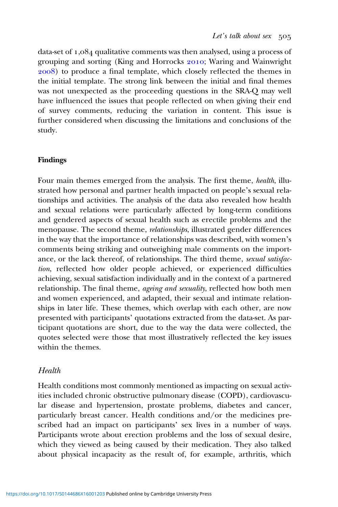data-set of  $1,084$  qualitative comments was then analysed, using a process of grouping and sorting (King and Horrocks 2010; Waring and Wainwright ) to produce a final template, which closely reflected the themes in the initial template. The strong link between the initial and final themes was not unexpected as the proceeding questions in the SRA-Q may well have influenced the issues that people reflected on when giving their end of survey comments, reducing the variation in content. This issue is further considered when discussing the limitations and conclusions of the study.

### Findings

Four main themes emerged from the analysis. The first theme, health, illustrated how personal and partner health impacted on people's sexual relationships and activities. The analysis of the data also revealed how health and sexual relations were particularly affected by long-term conditions and gendered aspects of sexual health such as erectile problems and the menopause. The second theme, relationships, illustrated gender differences in the way that the importance of relationships was described, with women's comments being striking and outweighing male comments on the importance, or the lack thereof, of relationships. The third theme, sexual satisfaction, reflected how older people achieved, or experienced difficulties achieving, sexual satisfaction individually and in the context of a partnered relationship. The final theme, ageing and sexuality, reflected how both men and women experienced, and adapted, their sexual and intimate relationships in later life. These themes, which overlap with each other, are now presented with participants' quotations extracted from the data-set. As participant quotations are short, due to the way the data were collected, the quotes selected were those that most illustratively reflected the key issues within the themes.

# Health

Health conditions most commonly mentioned as impacting on sexual activities included chronic obstructive pulmonary disease (COPD), cardiovascular disease and hypertension, prostate problems, diabetes and cancer, particularly breast cancer. Health conditions and/or the medicines prescribed had an impact on participants' sex lives in a number of ways. Participants wrote about erection problems and the loss of sexual desire, which they viewed as being caused by their medication. They also talked about physical incapacity as the result of, for example, arthritis, which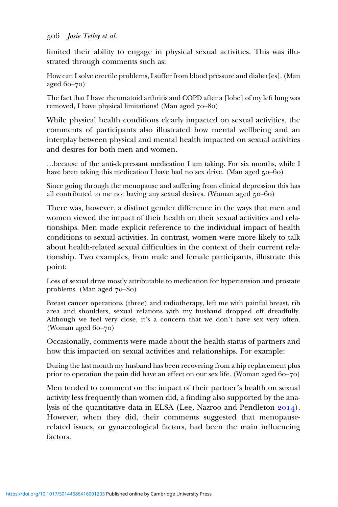limited their ability to engage in physical sexual activities. This was illustrated through comments such as:

How can I solve erectile problems, I suffer from blood pressure and diabet[es]. (Man aged  $60 - 70$ 

The fact that I have rheumatoid arthritis and COPD after a [lobe] of my left lung was removed, I have physical limitations! (Man aged  $70-80$ )

While physical health conditions clearly impacted on sexual activities, the comments of participants also illustrated how mental wellbeing and an interplay between physical and mental health impacted on sexual activities and desires for both men and women.

…because of the anti-depressant medication I am taking. For six months, while I have been taking this medication I have had no sex drive. (Man aged  $50-60$ )

Since going through the menopause and suffering from clinical depression this has all contributed to me not having any sexual desires. (Woman aged  $50-60$ )

There was, however, a distinct gender difference in the ways that men and women viewed the impact of their health on their sexual activities and relationships. Men made explicit reference to the individual impact of health conditions to sexual activities. In contrast, women were more likely to talk about health-related sexual difficulties in the context of their current relationship. Two examples, from male and female participants, illustrate this point:

Loss of sexual drive mostly attributable to medication for hypertension and prostate problems. (Man aged  $70-80$ )

Breast cancer operations (three) and radiotherapy, left me with painful breast, rib area and shoulders, sexual relations with my husband dropped off dreadfully. Although we feel very close, it's a concern that we don't have sex very often. (Woman aged  $60 - 70$ )

Occasionally, comments were made about the health status of partners and how this impacted on sexual activities and relationships. For example:

During the last month my husband has been recovering from a hip replacement plus prior to operation the pain did have an effect on our sex life. (Woman aged  $60-70$ )

Men tended to comment on the impact of their partner's health on sexual activity less frequently than women did, a finding also supported by the analysis of the quantitative data in ELSA (Lee, Nazroo and Pendleton  $2014$ ). However, when they did, their comments suggested that menopauserelated issues, or gynaecological factors, had been the main influencing factors.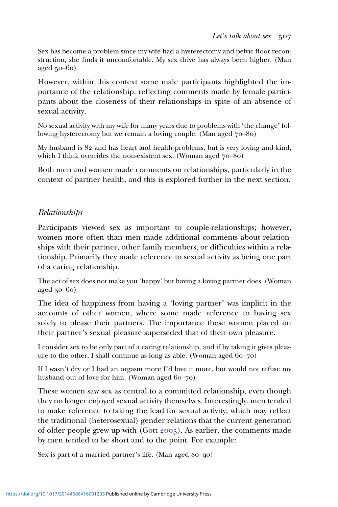Sex has become a problem since my wife had a hysterectomy and pelvic floor reconstruction, she finds it uncomfortable. My sex drive has always been higher. (Man aged  $50-60$ 

However, within this context some male participants highlighted the importance of the relationship, reflecting comments made by female participants about the closeness of their relationships in spite of an absence of sexual activity.

No sexual activity with my wife for many years due to problems with 'the change' following hysterectomy but we remain a loving couple. (Man aged  $70-80$ )

My husband is  $82$  and has heart and health problems, but is very loving and kind, which I think overrides the non-existent sex. (Woman aged  $70-80$ )

Both men and women made comments on relationships, particularly in the context of partner health, and this is explored further in the next section.

# Relationships

Participants viewed sex as important to couple-relationships; however, women more often than men made additional comments about relationships with their partner, other family members, or difficulties within a relationship. Primarily they made reference to sexual activity as being one part of a caring relationship.

The act of sex does not make you 'happy' but having a loving partner does. (Woman aged  $50-60$ 

The idea of happiness from having a 'loving partner' was implicit in the accounts of other women, where some made reference to having sex solely to please their partners. The importance these women placed on their partner's sexual pleasure superseded that of their own pleasure.

I consider sex to be only part of a caring relationship, and if by taking it gives pleasure to the other, I shall continue as long as able. (Woman aged  $60 - 70$ )

If I wasn't dry or I had an orgasm more I'd love it more, but would not refuse my husband out of love for him. (Woman aged  $60-70$ )

These women saw sex as central to a committed relationship, even though they no longer enjoyed sexual activity themselves. Interestingly, men tended to make reference to taking the lead for sexual activity, which may reflect the traditional (heterosexual) gender relations that the current generation of older people grew up with  $(Gott 2005)$ . As earlier, the comments made by men tended to be short and to the point. For example:

Sex is part of a married partner's life. (Man aged  $80 - 90$ )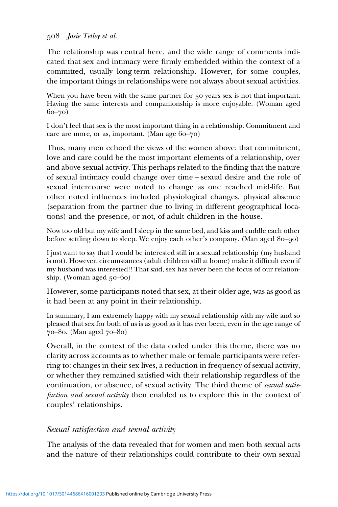The relationship was central here, and the wide range of comments indicated that sex and intimacy were firmly embedded within the context of a committed, usually long-term relationship. However, for some couples, the important things in relationships were not always about sexual activities.

When you have been with the same partner for 50 years sex is not that important. Having the same interests and companionship is more enjoyable. (Woman aged  $60 - 70$ 

I don't feel that sex is the most important thing in a relationship. Commitment and care are more, or as, important. (Man age  $60-70$ )

Thus, many men echoed the views of the women above: that commitment, love and care could be the most important elements of a relationship, over and above sexual activity. This perhaps related to the finding that the nature of sexual intimacy could change over time – sexual desire and the role of sexual intercourse were noted to change as one reached mid-life. But other noted influences included physiological changes, physical absence (separation from the partner due to living in different geographical locations) and the presence, or not, of adult children in the house.

Now too old but my wife and I sleep in the same bed, and kiss and cuddle each other before settling down to sleep. We enjoy each other's company. (Man aged 80–90)

I just want to say that I would be interested still in a sexual relationship (my husband is not). However, circumstances (adult children still at home) make it difficult even if my husband was interested!! That said, sex has never been the focus of our relationship. (Woman aged  $50-60$ )

However, some participants noted that sex, at their older age, was as good as it had been at any point in their relationship.

In summary, I am extremely happy with my sexual relationship with my wife and so pleased that sex for both of us is as good as it has ever been, even in the age range of  $70 - 80$ . (Man aged  $70 - 80$ )

Overall, in the context of the data coded under this theme, there was no clarity across accounts as to whether male or female participants were referring to: changes in their sex lives, a reduction in frequency of sexual activity, or whether they remained satisfied with their relationship regardless of the continuation, or absence, of sexual activity. The third theme of sexual satisfaction and sexual activity then enabled us to explore this in the context of couples' relationships.

# Sexual satisfaction and sexual activity

The analysis of the data revealed that for women and men both sexual acts and the nature of their relationships could contribute to their own sexual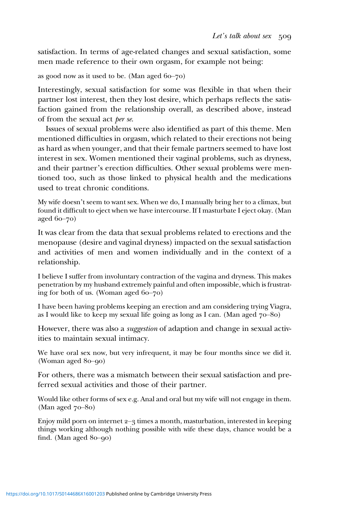satisfaction. In terms of age-related changes and sexual satisfaction, some men made reference to their own orgasm, for example not being:

as good now as it used to be. (Man aged  $60-70$ )

Interestingly, sexual satisfaction for some was flexible in that when their partner lost interest, then they lost desire, which perhaps reflects the satisfaction gained from the relationship overall, as described above, instead of from the sexual act per se.

Issues of sexual problems were also identified as part of this theme. Men mentioned difficulties in orgasm, which related to their erections not being as hard as when younger, and that their female partners seemed to have lost interest in sex. Women mentioned their vaginal problems, such as dryness, and their partner's erection difficulties. Other sexual problems were mentioned too, such as those linked to physical health and the medications used to treat chronic conditions.

My wife doesn't seem to want sex. When we do, I manually bring her to a climax, but found it difficult to eject when we have intercourse. If I masturbate I eject okay. (Man aged  $60 - 70$ 

It was clear from the data that sexual problems related to erections and the menopause (desire and vaginal dryness) impacted on the sexual satisfaction and activities of men and women individually and in the context of a relationship.

I believe I suffer from involuntary contraction of the vagina and dryness. This makes penetration by my husband extremely painful and often impossible, which is frustrating for both of us. (Woman aged 60-70)

I have been having problems keeping an erection and am considering trying Viagra, as I would like to keep my sexual life going as long as I can. (Man aged  $70-80$ )

However, there was also a suggestion of adaption and change in sexual activities to maintain sexual intimacy.

We have oral sex now, but very infrequent, it may be four months since we did it. (Woman aged  $8o$ – $9o$ )

For others, there was a mismatch between their sexual satisfaction and preferred sexual activities and those of their partner.

Would like other forms of sex e.g. Anal and oral but my wife will not engage in them. (Man aged  $70-80$ )

Enjoy mild porn on internet  $2-3$  times a month, masturbation, interested in keeping things working although nothing possible with wife these days, chance would be a find. (Man aged  $80 - 90$ )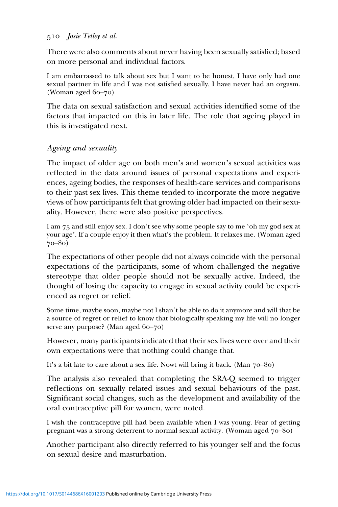There were also comments about never having been sexually satisfied; based on more personal and individual factors.

I am embarrassed to talk about sex but I want to be honest, I have only had one sexual partner in life and I was not satisfied sexually, I have never had an orgasm. (Woman aged  $60 - 70$ )

The data on sexual satisfaction and sexual activities identified some of the factors that impacted on this in later life. The role that ageing played in this is investigated next.

# Ageing and sexuality

The impact of older age on both men's and women's sexual activities was reflected in the data around issues of personal expectations and experiences, ageing bodies, the responses of health-care services and comparisons to their past sex lives. This theme tended to incorporate the more negative views of how participants felt that growing older had impacted on their sexuality. However, there were also positive perspectives.

I am 75 and still enjoy sex. I don't see why some people say to me 'oh my god sex at your age'. If a couple enjoy it then what's the problem. It relaxes me. (Woman aged  $70 - 80$ 

The expectations of other people did not always coincide with the personal expectations of the participants, some of whom challenged the negative stereotype that older people should not be sexually active. Indeed, the thought of losing the capacity to engage in sexual activity could be experienced as regret or relief.

Some time, maybe soon, maybe not I shan't be able to do it anymore and will that be a source of regret or relief to know that biologically speaking my life will no longer serve any purpose? (Man aged  $60-70$ )

However, many participants indicated that their sex lives were over and their own expectations were that nothing could change that.

It's a bit late to care about a sex life. Nowt will bring it back. (Man  $70-80$ )

The analysis also revealed that completing the SRA-Q seemed to trigger reflections on sexually related issues and sexual behaviours of the past. Significant social changes, such as the development and availability of the oral contraceptive pill for women, were noted.

I wish the contraceptive pill had been available when I was young. Fear of getting pregnant was a strong deterrent to normal sexual activity. (Woman aged  $70-80$ )

Another participant also directly referred to his younger self and the focus on sexual desire and masturbation.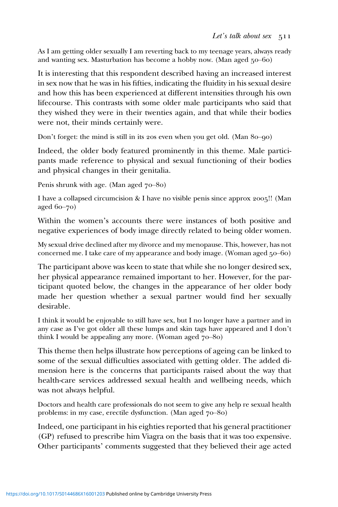As I am getting older sexually I am reverting back to my teenage years, always ready and wanting sex. Masturbation has become a hobby now. (Man aged  $50-60$ )

It is interesting that this respondent described having an increased interest in sex now that he was in his fifties, indicating the fluidity in his sexual desire and how this has been experienced at different intensities through his own lifecourse. This contrasts with some older male participants who said that they wished they were in their twenties again, and that while their bodies were not, their minds certainly were.

Don't forget: the mind is still in its 20s even when you get old. (Man 80-90)

Indeed, the older body featured prominently in this theme. Male participants made reference to physical and sexual functioning of their bodies and physical changes in their genitalia.

Penis shrunk with age. (Man aged  $70-80$ )

I have a collapsed circumcision  $\&$  I have no visible penis since approx 2005!! (Man aged  $60 - 70$ )

Within the women's accounts there were instances of both positive and negative experiences of body image directly related to being older women.

My sexual drive declined after my divorce and my menopause. This, however, has not concerned me. I take care of my appearance and body image. (Woman aged  $50-60$ )

The participant above was keen to state that while she no longer desired sex, her physical appearance remained important to her. However, for the participant quoted below, the changes in the appearance of her older body made her question whether a sexual partner would find her sexually desirable.

I think it would be enjoyable to still have sex, but I no longer have a partner and in any case as I've got older all these lumps and skin tags have appeared and I don't think I would be appealing any more. (Woman aged  $70-80$ )

This theme then helps illustrate how perceptions of ageing can be linked to some of the sexual difficulties associated with getting older. The added dimension here is the concerns that participants raised about the way that health-care services addressed sexual health and wellbeing needs, which was not always helpful.

Doctors and health care professionals do not seem to give any help re sexual health problems: in my case, erectile dysfunction. (Man aged  $70-80$ )

Indeed, one participant in his eighties reported that his general practitioner (GP) refused to prescribe him Viagra on the basis that it was too expensive. Other participants' comments suggested that they believed their age acted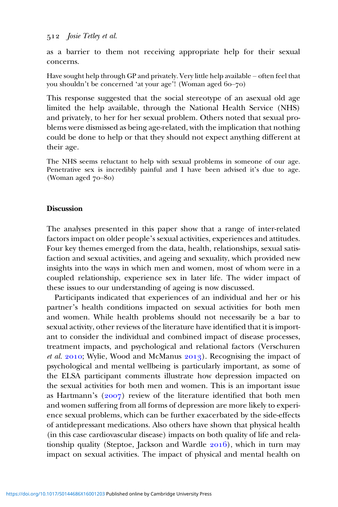as a barrier to them not receiving appropriate help for their sexual concerns.

Have sought help through GP and privately. Very little help available – often feel that you shouldn't be concerned 'at your age'! (Woman aged 60-70)

This response suggested that the social stereotype of an asexual old age limited the help available, through the National Health Service (NHS) and privately, to her for her sexual problem. Others noted that sexual problems were dismissed as being age-related, with the implication that nothing could be done to help or that they should not expect anything different at their age.

The NHS seems reluctant to help with sexual problems in someone of our age. Penetrative sex is incredibly painful and I have been advised it's due to age. (Woman aged  $70-80$ )

### **Discussion**

The analyses presented in this paper show that a range of inter-related factors impact on older people's sexual activities, experiences and attitudes. Four key themes emerged from the data, health, relationships, sexual satisfaction and sexual activities, and ageing and sexuality, which provided new insights into the ways in which men and women, most of whom were in a coupled relationship, experience sex in later life. The wider impact of these issues to our understanding of ageing is now discussed.

Participants indicated that experiences of an individual and her or his partner's health conditions impacted on sexual activities for both men and women. While health problems should not necessarily be a bar to sexual activity, other reviews of the literature have identified that it is important to consider the individual and combined impact of disease processes, treatment impacts, and psychological and relational factors (Verschuren *et al.* 2010; Wylie, Wood and McManus 2013). Recognising the impact of psychological and mental wellbeing is particularly important, as some of the ELSA participant comments illustrate how depression impacted on the sexual activities for both men and women. This is an important issue as Hartmann's  $(2007)$  review of the literature identified that both men and women suffering from all forms of depression are more likely to experience sexual problems, which can be further exacerbated by the side-effects of antidepressant medications. Also others have shown that physical health (in this case cardiovascular disease) impacts on both quality of life and relationship quality (Steptoe, Jackson and Wardle  $2016$ ), which in turn may impact on sexual activities. The impact of physical and mental health on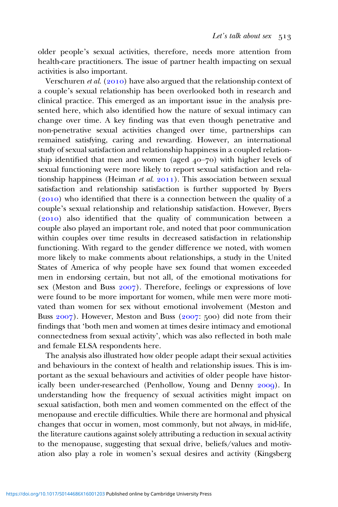older people's sexual activities, therefore, needs more attention from health-care practitioners. The issue of partner health impacting on sexual activities is also important.

Verschuren et al. (2010) have also argued that the relationship context of a couple's sexual relationship has been overlooked both in research and clinical practice. This emerged as an important issue in the analysis presented here, which also identified how the nature of sexual intimacy can change over time. A key finding was that even though penetrative and non-penetrative sexual activities changed over time, partnerships can remained satisfying, caring and rewarding. However, an international study of sexual satisfaction and relationship happiness in a coupled relationship identified that men and women (aged  $40-70$ ) with higher levels of sexual functioning were more likely to report sexual satisfaction and relationship happiness (Heiman et al.  $2011$ ). This association between sexual satisfaction and relationship satisfaction is further supported by Byers  $(2010)$  who identified that there is a connection between the quality of a couple's sexual relationship and relationship satisfaction. However, Byers  $(2010)$  also identified that the quality of communication between a couple also played an important role, and noted that poor communication within couples over time results in decreased satisfaction in relationship functioning. With regard to the gender difference we noted, with women more likely to make comments about relationships, a study in the United States of America of why people have sex found that women exceeded men in endorsing certain, but not all, of the emotional motivations for sex (Meston and Buss  $2007$ ). Therefore, feelings or expressions of love were found to be more important for women, while men were more motivated than women for sex without emotional involvement (Meston and Buss  $(2007)$ . However, Meston and Buss ( $(2007; 500)$  did note from their findings that 'both men and women at times desire intimacy and emotional connectedness from sexual activity', which was also reflected in both male and female ELSA respondents here.

The analysis also illustrated how older people adapt their sexual activities and behaviours in the context of health and relationship issues. This is important as the sexual behaviours and activities of older people have historically been under-researched (Penhollow, Young and Denny 2009). In understanding how the frequency of sexual activities might impact on sexual satisfaction, both men and women commented on the effect of the menopause and erectile difficulties. While there are hormonal and physical changes that occur in women, most commonly, but not always, in mid-life, the literature cautions against solely attributing a reduction in sexual activity to the menopause, suggesting that sexual drive, beliefs/values and motivation also play a role in women's sexual desires and activity (Kingsberg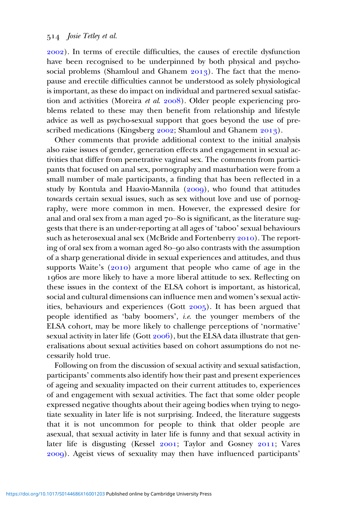). In terms of erectile difficulties, the causes of erectile dysfunction have been recognised to be underpinned by both physical and psychosocial problems (Shamloul and Ghanem  $2013$ ). The fact that the menopause and erectile difficulties cannot be understood as solely physiological is important, as these do impact on individual and partnered sexual satisfaction and activities (Moreira et al.  $2008$ ). Older people experiencing problems related to these may then benefit from relationship and lifestyle advice as well as psycho-sexual support that goes beyond the use of prescribed medications (Kingsberg  $2002$ ; Shamloul and Ghanem  $2013$ ).

Other comments that provide additional context to the initial analysis also raise issues of gender, generation effects and engagement in sexual activities that differ from penetrative vaginal sex. The comments from participants that focused on anal sex, pornography and masturbation were from a small number of male participants, a finding that has been reflected in a study by Kontula and Haavio-Mannila  $(2009)$ , who found that attitudes towards certain sexual issues, such as sex without love and use of pornography, were more common in men. However, the expressed desire for anal and oral sex from a man aged  $70-80$  is significant, as the literature suggests that there is an under-reporting at all ages of 'taboo' sexual behaviours such as heterosexual anal sex (McBride and Fortenberry 2010). The reporting of oral sex from a woman aged 80-90 also contrasts with the assumption of a sharp generational divide in sexual experiences and attitudes, and thus supports Waite's  $(2010)$  argument that people who came of age in the 1960s are more likely to have a more liberal attitude to sex. Reflecting on these issues in the context of the ELSA cohort is important, as historical, social and cultural dimensions can influence men and women's sexual activities, behaviours and experiences (Gott  $2005$ ). It has been argued that people identified as 'baby boomers', i.e. the younger members of the ELSA cohort, may be more likely to challenge perceptions of 'normative' sexual activity in later life (Gott  $2006$ ), but the ELSA data illustrate that generalisations about sexual activities based on cohort assumptions do not necessarily hold true.

Following on from the discussion of sexual activity and sexual satisfaction, participants' comments also identify how their past and present experiences of ageing and sexuality impacted on their current attitudes to, experiences of and engagement with sexual activities. The fact that some older people expressed negative thoughts about their ageing bodies when trying to negotiate sexuality in later life is not surprising. Indeed, the literature suggests that it is not uncommon for people to think that older people are asexual, that sexual activity in later life is funny and that sexual activity in later life is disgusting (Kessel 2001; Taylor and Gosney 2011; Vares ). Ageist views of sexuality may then have influenced participants'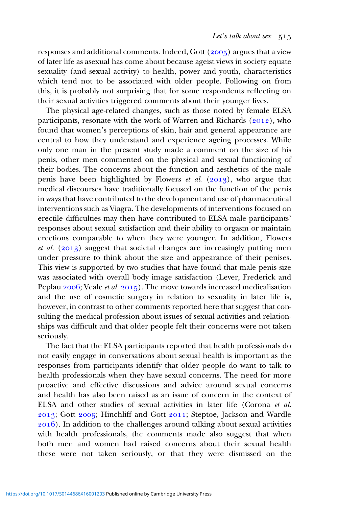responses and additional comments. Indeed, Gott  $(2005)$  argues that a view of later life as asexual has come about because ageist views in society equate sexuality (and sexual activity) to health, power and youth, characteristics which tend not to be associated with older people. Following on from this, it is probably not surprising that for some respondents reflecting on their sexual activities triggered comments about their younger lives.

The physical age-related changes, such as those noted by female ELSA participants, resonate with the work of Warren and Richards  $(2012)$ , who found that women's perceptions of skin, hair and general appearance are central to how they understand and experience ageing processes. While only one man in the present study made a comment on the size of his penis, other men commented on the physical and sexual functioning of their bodies. The concerns about the function and aesthetics of the male penis have been highlighted by Flowers et al.  $(2013)$ , who argue that medical discourses have traditionally focused on the function of the penis in ways that have contributed to the development and use of pharmaceutical interventions such as Viagra. The developments of interventions focused on erectile difficulties may then have contributed to ELSA male participants' responses about sexual satisfaction and their ability to orgasm or maintain erections comparable to when they were younger. In addition, Flowers  $et$  al. (2013) suggest that societal changes are increasingly putting men under pressure to think about the size and appearance of their penises. This view is supported by two studies that have found that male penis size was associated with overall body image satisfaction (Lever, Frederick and Peplau  $2006$ ; Veale et al.  $2015$ ). The move towards increased medicalisation and the use of cosmetic surgery in relation to sexuality in later life is, however, in contrast to other comments reported here that suggest that consulting the medical profession about issues of sexual activities and relationships was difficult and that older people felt their concerns were not taken seriously.

The fact that the ELSA participants reported that health professionals do not easily engage in conversations about sexual health is important as the responses from participants identify that older people do want to talk to health professionals when they have sexual concerns. The need for more proactive and effective discussions and advice around sexual concerns and health has also been raised as an issue of concern in the context of ELSA and other studies of sexual activities in later life (Corona et al. 2013; Gott 2005; Hinchliff and Gott 2011; Steptoe, Jackson and Wardle ). In addition to the challenges around talking about sexual activities with health professionals, the comments made also suggest that when both men and women had raised concerns about their sexual health these were not taken seriously, or that they were dismissed on the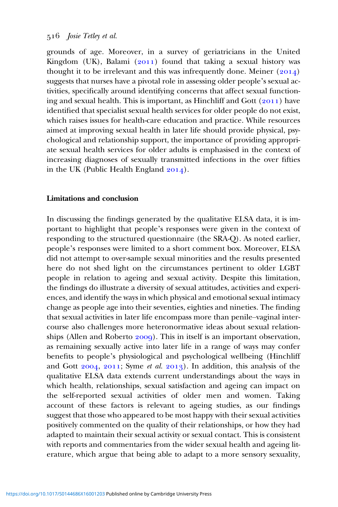grounds of age. Moreover, in a survey of geriatricians in the United Kingdom (UK), Balami (2011) found that taking a sexual history was thought it to be irrelevant and this was infrequently done. Meiner  $(2014)$ suggests that nurses have a pivotal role in assessing older people's sexual activities, specifically around identifying concerns that affect sexual functioning and sexual health. This is important, as Hinchliff and Gott  $(2011)$  have identified that specialist sexual health services for older people do not exist, which raises issues for health-care education and practice. While resources aimed at improving sexual health in later life should provide physical, psychological and relationship support, the importance of providing appropriate sexual health services for older adults is emphasised in the context of increasing diagnoses of sexually transmitted infections in the over fifties in the UK (Public Health England  $2014$ ).

### Limitations and conclusion

In discussing the findings generated by the qualitative ELSA data, it is important to highlight that people's responses were given in the context of responding to the structured questionnaire (the SRA-Q). As noted earlier, people's responses were limited to a short comment box. Moreover, ELSA did not attempt to over-sample sexual minorities and the results presented here do not shed light on the circumstances pertinent to older LGBT people in relation to ageing and sexual activity. Despite this limitation, the findings do illustrate a diversity of sexual attitudes, activities and experiences, and identify the ways in which physical and emotional sexual intimacy change as people age into their seventies, eighties and nineties. The finding that sexual activities in later life encompass more than penile–vaginal intercourse also challenges more heteronormative ideas about sexual relationships (Allen and Roberto  $200q$ ). This in itself is an important observation, as remaining sexually active into later life in a range of ways may confer benefits to people's physiological and psychological wellbeing (Hinchliff and Gott  $2004$ ,  $2011$ ; Syme et al.  $2013$ ). In addition, this analysis of the qualitative ELSA data extends current understandings about the ways in which health, relationships, sexual satisfaction and ageing can impact on the self-reported sexual activities of older men and women. Taking account of these factors is relevant to ageing studies, as our findings suggest that those who appeared to be most happy with their sexual activities positively commented on the quality of their relationships, or how they had adapted to maintain their sexual activity or sexual contact. This is consistent with reports and commentaries from the wider sexual health and ageing literature, which argue that being able to adapt to a more sensory sexuality,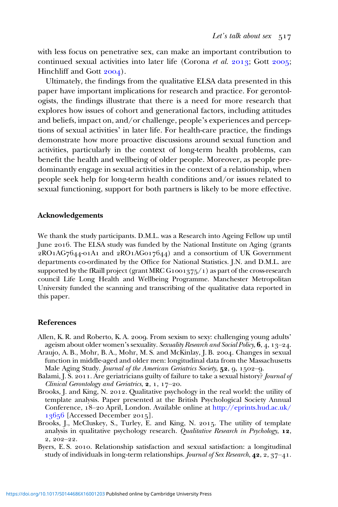<span id="page-20-0"></span>with less focus on penetrative sex, can make an important contribution to continued sexual activities into later life (Corona et al.  $2013$ ; Gott  $2005$ ; Hinchliff and Gott  $2004$ ).

Ultimately, the findings from the qualitative ELSA data presented in this paper have important implications for research and practice. For gerontologists, the findings illustrate that there is a need for more research that explores how issues of cohort and generational factors, including attitudes and beliefs, impact on, and/or challenge, people's experiences and perceptions of sexual activities' in later life. For health-care practice, the findings demonstrate how more proactive discussions around sexual function and activities, particularly in the context of long-term health problems, can benefit the health and wellbeing of older people. Moreover, as people predominantly engage in sexual activities in the context of a relationship, when people seek help for long-term health conditions and/or issues related to sexual functioning, support for both partners is likely to be more effective.

### Acknowledgements

We thank the study participants. D.M.L. was a Research into Ageing Fellow up until June 2016. The ELSA study was funded by the National Institute on Aging (grants  $2RO1AG7644-01A1$  and  $2RO1AG017644$ ) and a consortium of UK Government departments co-ordinated by the Office for National Statistics. J.N. and D.M.L. are supported by the fRaill project (grant MRC  $G_1$  oo $1375/1$ ) as part of the cross-research council Life Long Health and Wellbeing Programme. Manchester Metropolitan University funded the scanning and transcribing of the qualitative data reported in this paper.

#### References

- Allen, K. R. and Roberto, K. A. 2009. From sexism to sexy: challenging young adults' ageism about older women's sexuality. Sexuality Research and Social Policy,  $6, 4, 13-24$ .
- Araujo, A. B., Mohr, B. A., Mohr, M. S. and McKinlay, J. B. 2004. Changes in sexual function in middle-aged and older men: longitudinal data from the Massachusetts Male Aging Study. Journal of the American Geriatrics Society, 52, 9, 1502-9.
- Balami, J. S. 2011. Are geriatricians guilty of failure to take a sexual history? Journal of Clinical Gerontology and Geriatrics,  $2, 1, 17-20$ .
- Brooks, J. and King, N. 2012. Qualitative psychology in the real world: the utility of template analysis. Paper presented at the British Psychological Society Annual Conference, 18–20 April, London. Available online at [http://eprints.hud.ac.uk/](http://eprints.hud.ac.uk/13656)  $13656$  [Accessed December 2015].
- Brooks, J., McCluskey, S., Turley, E. and King, N. 2015. The utility of template analysis in qualitative psychology research. Qualitative Research in Psychology, 12,  $2, 202 - 22.$
- Byers, E.S. 2010. Relationship satisfaction and sexual satisfaction: a longitudinal study of individuals in long-term relationships. Journal of Sex Research,  $42$ ,  $2$ ,  $37-41$ .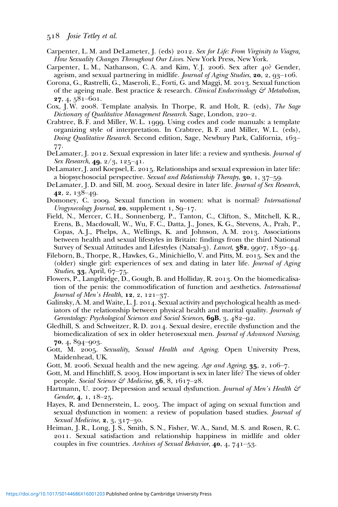- <span id="page-21-0"></span>Carpenter, L. M. and DeLameter, J. (eds) 2012. Sex for Life: From Virginity to Viagra, How Sexuality Changes Throughout Our Lives. New York Press, New York.
- Carpenter, L. M., Nathanson, C. A. and Kim, Y. J. 2006. Sex after 40? Gender, ageism, and sexual partnering in midlife. Journal of Aging Studies,  $20, 2, 93-106$ .
- Corona, G., Rastrelli, G., Maseroli, E., Forti, G. and Maggi, M. 2013. Sexual function of the ageing male. Best practice & research. Clinical Endocrinology  $\mathcal G$  Metabolism,  $27, 4, 581 - 601.$
- Cox, J. W. 2008. Template analysis. In Thorpe, R. and Holt, R. (eds), The Sage Dictionary of Qualitative Management Research. Sage, London, 220–2.
- Crabtree, B. F. and Miller, W. L. 1999. Using codes and code manuals: a template organizing style of interpretation. In Crabtree, B. F. and Miller, W. L. (eds), Doing Qualitative Research. Second edition, Sage, Newbury Park, California, 163– 77.
- DeLamater, J. 2012. Sexual expression in later life: a review and synthesis. *Journal of* Sex Research, 49,  $2/3$ ,  $125-41$ .
- DeLamater, J. and Koepsel, E. 2015. Relationships and sexual expression in later life: a biopsychosocial perspective. Sexual and Relationship Therapy,  $30$ , 1,  $37-59$ .
- DeLamater, J. D. and Sill, M. 2005. Sexual desire in later life. Journal of Sex Research, 42, 2,  $138-49$ .
- Domoney, C. 2009. Sexual function in women: what is normal? International Urogynecology Journal, **20**, supplement  $1, SQ-17$ .
- Field, N., Mercer, C. H., Sonnenberg, P., Tanton, C., Clifton, S., Mitchell, K. R., Erens, B., Macdowall, W., Wu, F. C., Datta, J., Jones, K. G., Stevens, A., Prah, P., Copas, A.J., Phelps, A., Wellings, K. and Johnson, A.M. 2013. Associations between health and sexual lifestyles in Britain: findings from the third National Survey of Sexual Attitudes and Lifestyles (Natsal-3). Lancet,  $382, 9907, 1830-44$ .
- Fileborn, B., Thorpe, R., Hawkes, G., Minichiello, V. and Pitts, M. 2015. Sex and the (older) single girl: experiences of sex and dating in later life. Journal of Aging Studies,  $33$ , April,  $67-75$ .
- Flowers, P., Langdridge, D., Gough, B. and Holliday, R. 2013. On the biomedicalisation of the penis: the commodification of function and aesthetics. International *Journal of Men's Health*,  $12, 2, 121-37$ .
- Galinsky, A. M. and Waite, L. J. 2014. Sexual activity and psychological health as mediators of the relationship between physical health and marital quality. Journals of Gerontology: Psychological Sciences and Social Sciences,  $6gB$ , 3,  $482–92$ .
- Gledhill, S. and Schweitzer, R. D. 2014. Sexual desire, erectile dysfunction and the biomedicalization of sex in older heterosexual men. Journal of Advanced Nursing, **70**, 4,  $894-903$ .
- Gott, M. 2005. Sexuality, Sexual Health and Ageing. Open University Press, Maidenhead, UK.
- Gott, M. 2006. Sexual health and the new ageing. Age and Ageing,  $35, 2, 106 7$ .
- Gott, M. and Hinchliff, S. 2003. How important is sex in later life? The views of older people. Social Science  $\mathcal{C}$  Medicine, 56, 8, 1617–28.
- Hartmann, U. 2007. Depression and sexual dysfunction. Journal of Men's Health  $\mathcal{C}$ Gender,  $4, 1, 18-25$ .
- Hayes, R. and Dennerstein, L. 2005. The impact of aging on sexual function and sexual dysfunction in women: a review of population based studies. Journal of Sexual Medicine,  $2, 3, 317 - 30$ .
- Heiman, J. R., Long, J. S., Smith, S. N., Fisher, W. A., Sand, M. S. and Rosen, R. C. . Sexual satisfaction and relationship happiness in midlife and older couples in five countries. Archives of Sexual Behavior,  $40, 4, 741-53$ .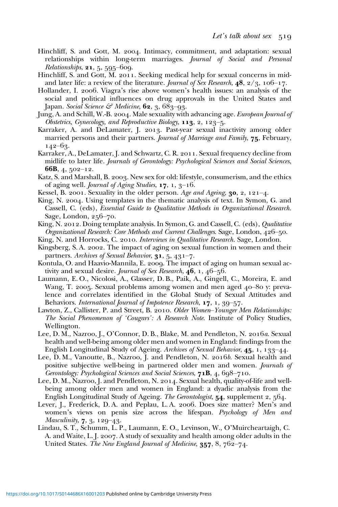- <span id="page-22-0"></span>Hinchliff, S. and Gott, M. 2004. Intimacy, commitment, and adaptation: sexual relationships within long-term marriages. Journal of Social and Personal Relationships,  $21, 5, 595-609$ .
- Hinchliff, S. and Gott, M. 2011. Seeking medical help for sexual concerns in midand later life: a review of the literature. Journal of Sex Research,  $48$ ,  $2/3$ ,  $106-17$ .
- Hollander, I. 2006. Viagra's rise above women's health issues: an analysis of the social and political influences on drug approvals in the United States and Japan. Social Science  $\mathcal{C}$  Medicine, 62, 3, 683-93.
- Jung, A. and Schill, W.-B. 2004. Male sexuality with advancing age. European Journal of Obstetrics, Gynecology, and Reproductive Biology,  $113, 2, 123-5$ .
- Karraker, A. and DeLamater, J. 2013. Past-year sexual inactivity among older married persons and their partners. Journal of Marriage and Family, 75, February,  $142 - 63.$
- Karraker, A., DeLamater, J. and Schwartz, C. R. 2011. Sexual frequency decline from midlife to later life. Journals of Gerontology: Psychological Sciences and Social Sciences, 66B,  $4, 502-12$ .
- Katz, S. and Marshall, B. 2003. New sex for old: lifestyle, consumerism, and the ethics of aging well. Journal of Aging Studies,  $17, 1, 3-16$ .
- Kessel, B. 2001. Sexuality in the older person. Age and Ageing,  $30, 2, 121-4$ .
- King, N. 2004. Using templates in the thematic analysis of text. In Symon, G. and Cassell, C. (eds), Essential Guide to Qualitative Methods in Organizational Research. Sage, London,  $256 - 70$ .
- King, N. 2012. Doing template analysis. In Symon, G. and Cassell, C. (eds), Qualitative Organizational Research: Core Methods and Current Challenges. Sage, London, 426-50.
- King, N. and Horrocks, C. 2010. Interviews in Qualitative Research. Sage, London.
- Kingsberg, S. A. 2002. The impact of aging on sexual function in women and their partners. Archives of Sexual Behavior,  $31, 5, 431-7$ .
- Kontula, O. and Haavio-Mannila, E. 2009. The impact of aging on human sexual activity and sexual desire. *Journal of Sex Research*,  $46$ ,  $1, 46$ –56.
- Laumann, E. O., Nicolosi, A., Glasser, D. B., Paik, A., Gingell, C., Moreira, E. and Wang, T. 2005. Sexual problems among women and men aged 40-80 y: prevalence and correlates identified in the Global Study of Sexual Attitudes and Behaviors. International Journal of Impotence Research,  $17, 1, 39-57$ .
- Lawton, Z., Callister, P. and Street, B. 2010. Older Women–Younger Men Relationships: The Social Phenomenon of 'Cougars': A Research Note. Institute of Policy Studies, Wellington.
- Lee, D. M., Nazroo, J., O'Connor, D. B., Blake, M. and Pendleton, N. 2016a. Sexual health and well-being among older men and women in England: findings from the English Longitudinal Study of Ageing. Archives of Sexual Behavior, 45, 1, 133-44.
- Lee,  $D.M.,$  Vanoutte, B., Nazroo, J. and Pendleton, N. 2016b. Sexual health and positive subjective well-being in partnered older men and women. Journals of Gerontology: Psychological Sciences and Social Sciences,  $71B$ ,  $4$ ,  $698-710$ .
- Lee, D. M., Nazroo, J. and Pendleton, N. 2014. Sexual health, quality-of-life and wellbeing among older men and women in England: a dyadic analysis from the English Longitudinal Study of Ageing. The Gerontologist, 54, supplement 2, 564.
- Lever, J., Frederick, D.A. and Peplau, L.A. 2006. Does size matter? Men's and women's views on penis size across the lifespan. Psychology of Men and *Masculinity*,  $7, 3, 129 - 43$ .
- Lindau, S. T., Schumm, L. P., Laumann, E. O., Levinson, W., O'Muircheartaigh, C. A. and Waite, L.J. 2007. A study of sexuality and health among older adults in the United States. The New England Journal of Medicine,  $357, 8, 762 - 74$ .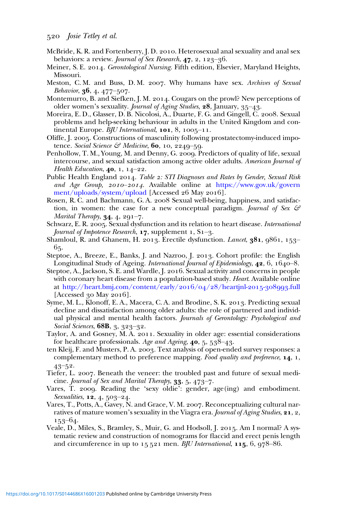- <span id="page-23-0"></span>McBride, K. R. and Fortenberry, J. D. 2010. Heterosexual anal sexuality and anal sex behaviors: a review. Journal of Sex Research,  $47, 2, 123-36$ .
- Meiner, S. E. 2014. Gerontological Nursing. Fifth edition, Elsevier, Maryland Heights, Missouri.
- Meston, C. M. and Buss, D. M. 2007. Why humans have sex. Archives of Sexual Behavior, 36, 4, 477-507.
- Montemurro, B. and Siefken, J. M. 2014. Cougars on the prowl? New perceptions of older women's sexuality. Journal of Aging Studies,  $28$ , January,  $35-43$ .
- Moreira, E. D., Glasser, D. B. Nicolosi, A., Duarte, F. G. and Gingell, C. 2008. Sexual problems and help-seeking behaviour in adults in the United Kingdom and continental Europe. *BJU International*, **101**, 8,  $1005-11$ .
- Oliffe, J. 2005. Constructions of masculinity following prostatectomy-induced impotence. Social Science  $\mathcal G$  Medicine, 60, 10, 2249–59.
- Penhollow, T. M., Young, M. and Denny, G. 2009. Predictors of quality of life, sexual intercourse, and sexual satisfaction among active older adults. American Journal of Health Education,  $40, 1, 14-22$ .
- Public Health England 2014. Table 2: STI Diagnoses and Rates by Gender, Sexual Risk and Age Group,  $2010-2014$ . Available online at [https://www.gov.uk/govern](https://www.gov.uk/government/uploads/system/upload)  $ment-uploads/system/upload$  [Accessed 26 May 2016].
- Rosen, R. C. and Bachmann, G. A. 2008 Sexual well-being, happiness, and satisfaction, in women: the case for a new conceptual paradigm. Journal of Sex  $\mathcal{F}$ Marital Therapy,  $34, 4, 291-7$ .
- Schwarz, E. R. 2005. Sexual dysfunction and its relation to heart disease. *International* Journal of Impotence Research,  $17$ , supplement  $1, S1-3$ .
- Shamloul, R. and Ghanem, H. 2013. Erectile dysfunction. Lancet,  $381, 9861, 153$ 65.
- Steptoe, A., Breeze, E., Banks, J. and Nazroo, J. 2013. Cohort profile: the English Longitudinal Study of Ageing. International Journal of Epidemiology,  $42, 6, 1640-8$ .
- Steptoe, A., Jackson, S. E. and Wardle, J. 2016. Sexual activity and concerns in people with coronary heart disease from a population-based study. Heart. Available online at [http://heart.bmj.com/content/early/](http://heart.bmj.com/content/early/2016/04/28/heartjnl-2015-308993.full)2016/04/28/heartjnl-2015-308993.full [Accessed 30 May  $2016$ ].
- Syme, M. L., Klonoff, E. A., Macera, C. A. and Brodine, S. K. 2013. Predicting sexual decline and dissatisfaction among older adults: the role of partnered and individual physical and mental health factors. Journals of Gerontology: Psychological and Social Sciences,  $68B, 3, 323-32$ .
- Taylor, A. and Gosney, M.A. 2011. Sexuality in older age: essential considerations for healthcare professionals. Age and Ageing,  $40, 5, 538-43$ .
- ten Kleij, F. and Musters, P. A. 2003. Text analysis of open-ended survey responses: a complementary method to preference mapping. Food quality and preference,  $14, 1$ ,  $43 - 52$
- Tiefer, L. 2007. Beneath the veneer: the troubled past and future of sexual medicine. Journal of Sex and Marital Therapy,  $33, 5, 473-7$ .
- Vares, T. 2009. Reading the 'sexy oldie': gender, age(ing) and embodiment. Sexualities,  $12, 4, 503 - 24$ .
- Vares, T., Potts, A., Gavey, N. and Grace, V. M. 2007. Reconceptualizing cultural narratives of mature women's sexuality in the Viagra era. Journal of Aging Studies,  $21, 2$ ,  $153 - 64.$
- Veale, D., Miles, S., Bramley, S., Muir, G. and Hodsoll, J. 2015. Am I normal? A systematic review and construction of nomograms for flaccid and erect penis length and circumference in up to  $15,521$  men. BJU International,  $115, 6, 978-86$ .